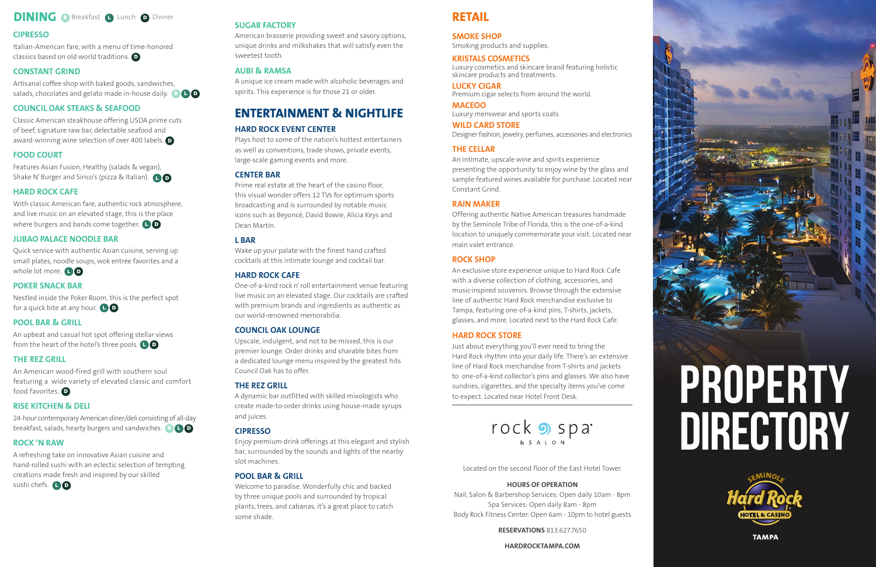# **DINING B** Breakfast **O** Lunch **O** Dinner

# **CIPRESSO**

Artisanal coffee shop with baked goods, sandwiches, salads, chocolates and gelato made in-house daily.  $\begin{array}{c} \Box \ \Box \ \end{array}$ 

# **CONSTANT GRIND**

Features Asian Fusion, Healthy (salads & vegan), Shake N'Burger and Sirico's (pizza & Italian). **O** 

# **COUNCIL OAK STEAKS & SEAFOOD**

With classic American fare, authentic rock atmosphere, and live music on an elevated stage, this is the place where burgers and bands come together.  $\begin{array}{|c|} \textbf{O} \end{array}$ 

Quick service with authentic Asian cuisine, serving up small plates, noodle soups, wok entrée favorites and a whole lot more. **L D** 

# **FOOD COURT**

Nestled inside the Poker Room, this is the perfect spot for a quick bite at any hour. **L D** 

An upbeat and casual hot spot offering stellar views from the heart of the hotel's three pools. [ ] **D** 

# **HARD ROCK CAFE**

An American wood-fired grill with southern soul featuring a wide variety of elevated classic and comfort food favorites. **D** 

24-hour contemporary American diner/deli consisting of all-day breakfast, salads, hearty burgers and sandwiches. **B D D** 

#### **JUBAO PALACE NOODLE BAR**

Italian-American fare, with a menu of time-honored classics based on old world traditions. D

### **POKER SNACK BAR**

Classic American steakhouse offering USDA prime cuts of beef, signature raw bar, delectable seafood and award-winning wine selection of over 400 labels. D

#### **POOL BAR & GRILL**

#### **THE REZ GRILL**

# **RISE KITCHEN & DELI**

# **ROCK 'N RAW**

A refreshing take on innovative Asian cuisine and hand-rolled sushi with an eclectic selection of tempting creations made fresh and inspired by our skilled

sushi chefs. **L**O

#### **SUGAR FACTORY**

American brasserie providing sweet and savory options, unique drinks and milkshakes that will satisfy even the sweetest tooth.

# **AUBI & RAMSA**

A unique ice cream made with alcoholic beverages and spirits. This experience is for those 21 or older.

# **ENTERTAINMENT & NIGHTLIFE**

# **HARD ROCK EVENT CENTER**

Plays host to some of the nation's hottest entertainers as well as conventions, trade shows, private events, large-scale gaming events and more.

#### **CENTER BAR**

Prime real estate at the heart of the casino floor, this visual wonder offers 12 TVs for optimum sports broadcasting and is surrounded by notable music icons such as Beyoncé, David Bowie, Alicia Keys and Dean Martin.

#### **L BAR**

Wake up your palate with the finest hand crafted cocktails at this intimate lounge and cocktail bar.

#### **HARD ROCK CAFE**

One-of-a-kind rock n' roll entertainment venue featuring live music on an elevated stage. Our cocktails are crafted with premium brands and ingredients as authentic as our world-renowned memorabilia.

#### **COUNCIL OAK LOUNGE**

Upscale, indulgent, and not to be missed, this is our premier lounge. Order drinks and sharable bites from a dedicated lounge menu inspired by the greatest hits Council Oak has to offer.

#### **THE REZ GRILL**

A dynamic bar outfitted with skilled mixologists who create made-to-order drinks using house-made syrups and juices.

#### **CIPRESSO**

Enjoy premium drink offerings at this elegant and stylish bar, surrounded by the sounds and lights of the nearby slot machines.

#### **POOL BAR & GRILL**

Welcome to paradise. Wonderfully chic and backed by three unique pools and surrounded by tropical plants, trees, and cabanas, it's a great place to catch some shade.

# **RETAIL**

**SMOKE SHOP**

Smoking products and supplies.

#### **KRISTALS COSMETICS**

Luxury cosmetics and skincare brand featuring holistic skincare products and treatments.

#### **LUCKY CIGAR**

Premium cigar selects from around the world.

**MACEOO** Luxury menswear and sports coats

**WILD CARD STORE**

Designer fashion, jewelry, perfumes, accessories and electronics

#### **THE CELLAR**

An intimate, upscale wine and spirits experience presenting the opportunity to enjoy wine by the glass and sample featured wines available for purchase. Located near Constant Grind.

#### **RAIN MAKER**

Offering authentic Native American treasures handmade by the Seminole Tribe of Florida, this is the one-of-a-kind location to uniquely commemorate your visit. Located near main valet entrance.

#### **ROCK SHOP**

An exclusive store experience unique to Hard Rock Cafe with a diverse collection of clothing, accessories, and music-inspired souvenirs. Browse through the extensive line of authentic Hard Rock merchandise exclusive to Tampa, featuring one-of-a-kind pins, T-shirts, jackets, glasses, and more. Located next to the Hard Rock Cafe.

#### **HARD ROCK STORE**

Just about everything you'll ever need to bring the Hard Rock rhythm into your daily life. There's an extensive line of Hard Rock merchandise from T-shirts and jackets to one-of-a-kind collector's pins and glasses. We also have sundries, cigarettes, and the specialty items you've come to expect. Located near Hotel Front Desk.



Located on the second floor of the East Hotel Tower.

#### **HOURS OF OPERATION**

Nail, Salon & Barbershop Services: Open daily 10am - 8pm Spa Services: Open daily 8am - 8pm Body Rock Fitness Center: Open 6am - 10pm to hotel guests

**RESERVATIONS** 813.627.7650

**HARDROCKTAMPA.COM**

# **PROPERTY DIRECTORY**



**TAMPA**